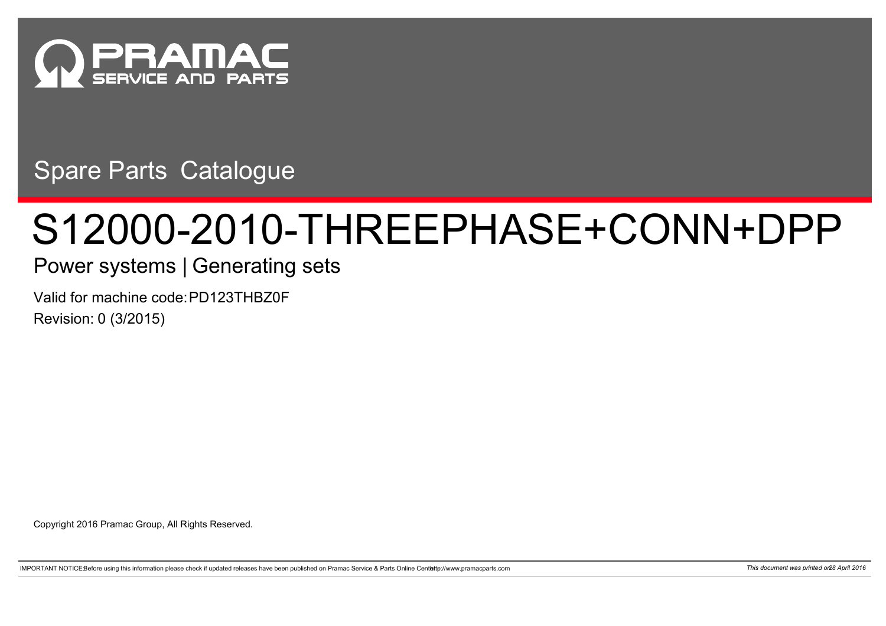

Spare Parts Catalogue

## S12000-2010-THREEPHASE+CONN+DPP

## Power systems | Generating sets

Valid for machine code: PD123THBZ0F Revision: 0 (3/2015)

Copyright 2016 Pramac Group, All Rights Reserved.

IMPORTANT NOTICEBefore using this information please check if updated releases have been published on Pramac Service & Parts Online Centette://www.pramacparts.com 71 and the content was printed on 28 April 2016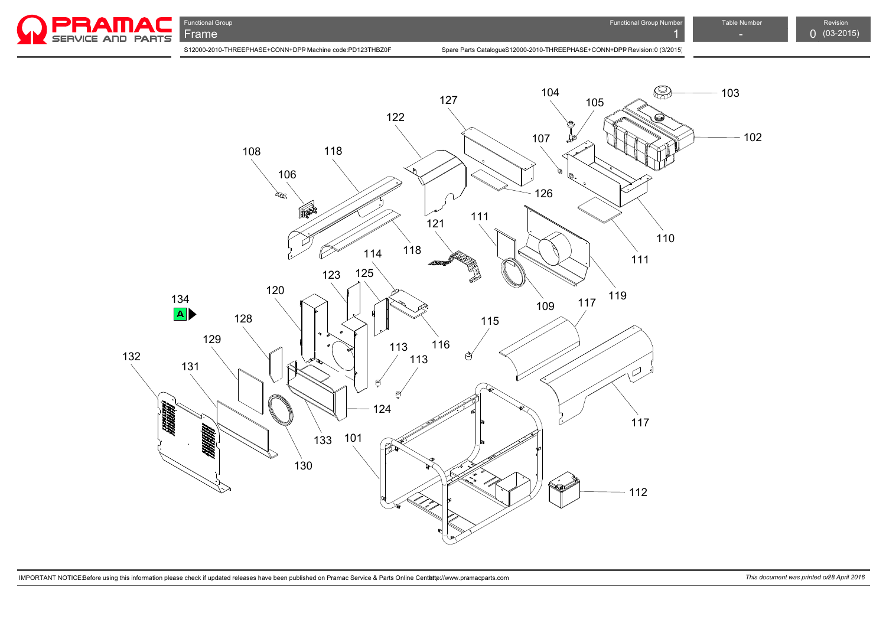

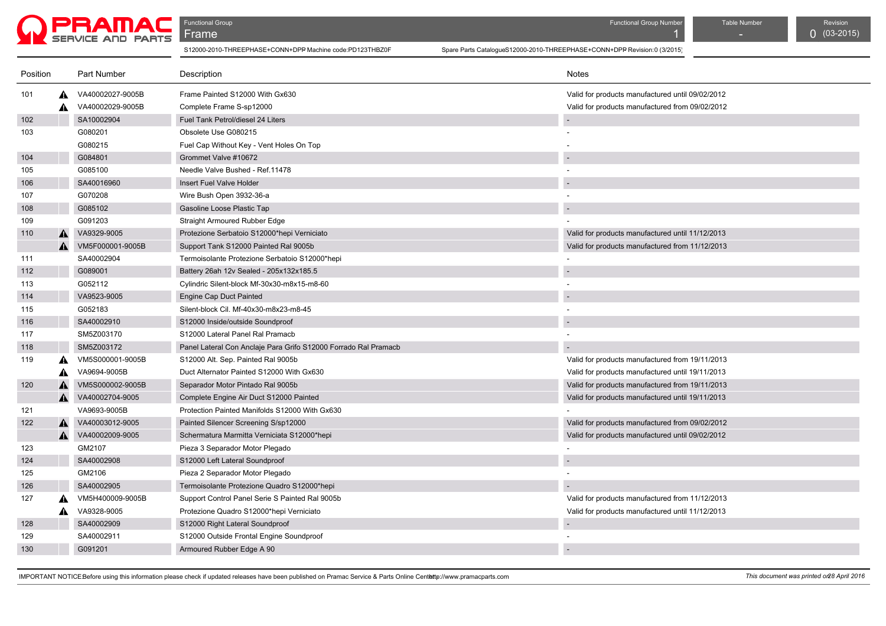

**Functional Group Functional Group Act of Contract Contract Contract Contract Contract Contract Contract Contract Contract Contract Contract Contract Contract Contract Contract Contract Contract Contract Contract Contract** 

| Position |   | Part Number      | Description                                                     | <b>Notes</b>                                     |
|----------|---|------------------|-----------------------------------------------------------------|--------------------------------------------------|
| 101      | A | VA40002027-9005B | Frame Painted S12000 With Gx630                                 | Valid for products manufactured until 09/02/2012 |
|          | ▲ | VA40002029-9005B | Complete Frame S-sp12000                                        | Valid for products manufactured from 09/02/2012  |
| 102      |   | SA10002904       | Fuel Tank Petrol/diesel 24 Liters                               |                                                  |
| 103      |   | G080201          | Obsolete Use G080215                                            |                                                  |
|          |   | G080215          | Fuel Cap Without Key - Vent Holes On Top                        |                                                  |
| 104      |   | G084801          | Grommet Valve #10672                                            |                                                  |
| 105      |   | G085100          | Needle Valve Bushed - Ref. 11478                                |                                                  |
| 106      |   | SA40016960       | Insert Fuel Valve Holder                                        |                                                  |
| 107      |   | G070208          | Wire Bush Open 3932-36-a                                        |                                                  |
| 108      |   | G085102          | Gasoline Loose Plastic Tap                                      |                                                  |
| 109      |   | G091203          | Straight Armoured Rubber Edge                                   |                                                  |
| 110      | A | VA9329-9005      | Protezione Serbatoio S12000*hepi Verniciato                     | Valid for products manufactured until 11/12/2013 |
|          | A | VM5F000001-9005B | Support Tank S12000 Painted Ral 9005b                           | Valid for products manufactured from 11/12/2013  |
| 111      |   | SA40002904       | Termoisolante Protezione Serbatoio S12000*hepi                  |                                                  |
| 112      |   | G089001          | Battery 26ah 12v Sealed - 205x132x185.5                         |                                                  |
| 113      |   | G052112          | Cylindric Silent-block Mf-30x30-m8x15-m8-60                     |                                                  |
| 114      |   | VA9523-9005      | Engine Cap Duct Painted                                         |                                                  |
| 115      |   | G052183          | Silent-block Cil. Mf-40x30-m8x23-m8-45                          |                                                  |
| 116      |   | SA40002910       | S12000 Inside/outside Soundproof                                |                                                  |
| 117      |   | SM5Z003170       | S12000 Lateral Panel Ral Pramacb                                |                                                  |
| 118      |   | SM5Z003172       | Panel Lateral Con Anclaje Para Grifo S12000 Forrado Ral Pramacb |                                                  |
| 119      |   | VM5S000001-9005B | S12000 Alt. Sep. Painted Ral 9005b                              | Valid for products manufactured from 19/11/2013  |
|          |   | VA9694-9005B     | Duct Alternator Painted S12000 With Gx630                       | Valid for products manufactured until 19/11/2013 |
| 120      | А | VM5S000002-9005B | Separador Motor Pintado Ral 9005b                               | Valid for products manufactured from 19/11/2013  |
|          | A | VA40002704-9005  | Complete Engine Air Duct S12000 Painted                         | Valid for products manufactured until 19/11/2013 |
| 121      |   | VA9693-9005B     | Protection Painted Manifolds S12000 With Gx630                  |                                                  |
| 122      | A | VA40003012-9005  | Painted Silencer Screening S/sp12000                            | Valid for products manufactured from 09/02/2012  |
|          | A | VA40002009-9005  | Schermatura Marmitta Verniciata S12000*hepi                     | Valid for products manufactured until 09/02/2012 |
| 123      |   | GM2107           | Pieza 3 Separador Motor Plegado                                 |                                                  |
| 124      |   | SA40002908       | S12000 Left Lateral Soundproof                                  |                                                  |
| 125      |   | GM2106           | Pieza 2 Separador Motor Plegado                                 |                                                  |
| 126      |   | SA40002905       | Termoisolante Protezione Quadro S12000*hepi                     |                                                  |
| 127      | A | VM5H400009-9005B | Support Control Panel Serie S Painted Ral 9005b                 | Valid for products manufactured from 11/12/2013  |
|          | A | VA9328-9005      | Protezione Quadro S12000*hepi Verniciato                        | Valid for products manufactured until 11/12/2013 |
| 128      |   | SA40002909       | S12000 Right Lateral Soundproof                                 |                                                  |
| 129      |   | SA40002911       | S12000 Outside Frontal Engine Soundproof                        |                                                  |
| 130      |   | G091201          | Armoured Rubber Edge A 90                                       |                                                  |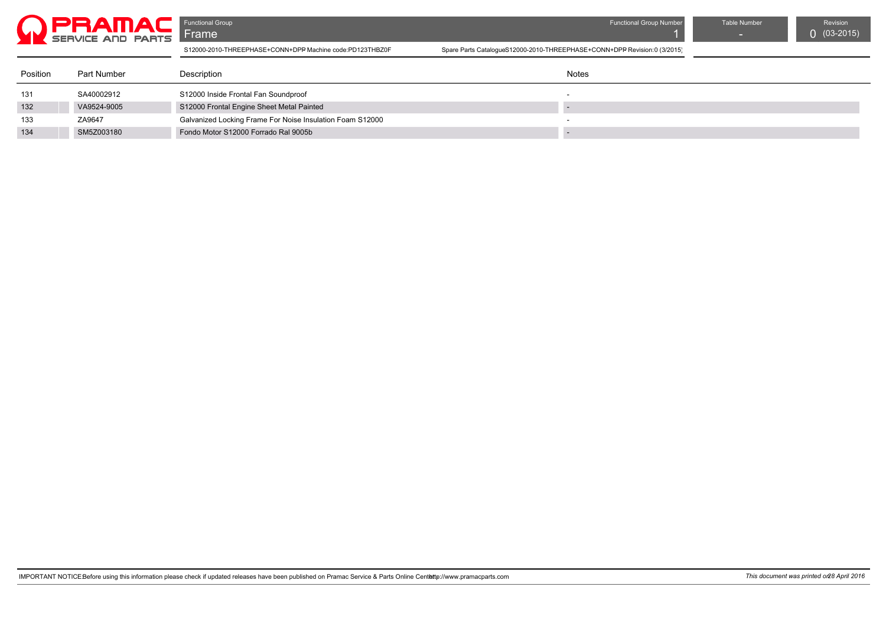

| Position | Part Number | Description                                               | Notes |
|----------|-------------|-----------------------------------------------------------|-------|
| 131      | SA40002912  | S12000 Inside Frontal Fan Soundproof                      |       |
| 132      | VA9524-9005 | S12000 Frontal Engine Sheet Metal Painted                 |       |
| 133      | ZA9647      | Galvanized Locking Frame For Noise Insulation Foam S12000 |       |
| 134      | SM5Z003180  | Fondo Motor S12000 Forrado Ral 9005b                      |       |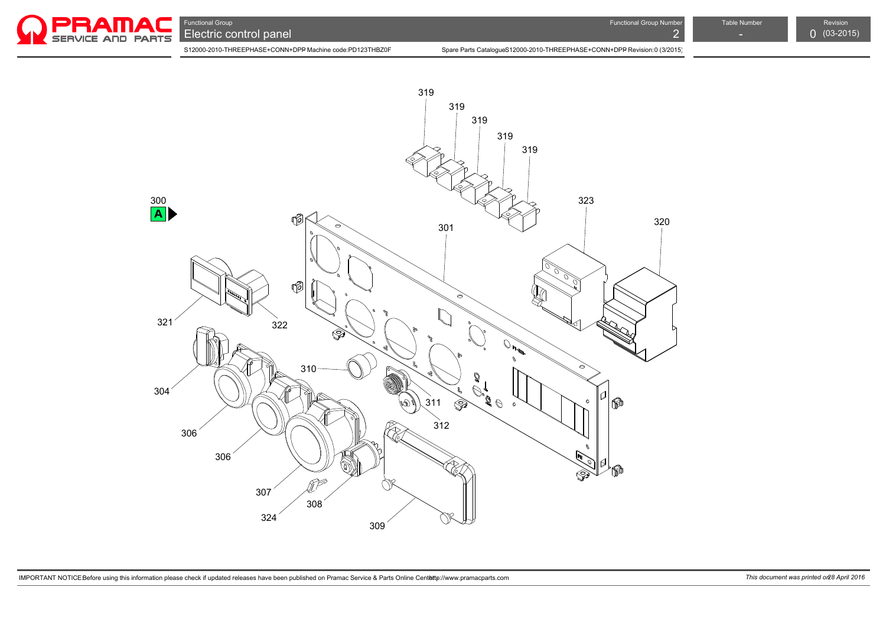

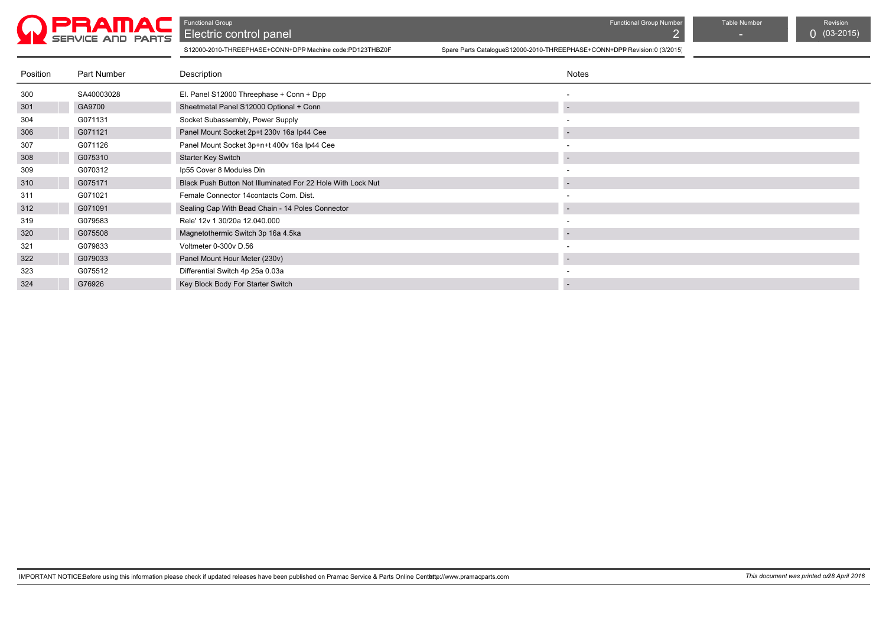

Functional Group Table Number Table Number Table Number Table Number Revision Revision<br>
Electric control panel C (03-2015) Electric control panel 2 - 03-2015) and 2 - 03-2015 and 2 - 03-2015 and 2 (03-2015) and 2 - 03-2015) and 2 - 03-

| Position | Part Number | Description                                                 | Notes                    |
|----------|-------------|-------------------------------------------------------------|--------------------------|
| 300      | SA40003028  | El. Panel S12000 Threephase + Conn + Dpp                    |                          |
| 301      | GA9700      | Sheetmetal Panel S12000 Optional + Conn                     |                          |
| 304      | G071131     | Socket Subassembly, Power Supply                            |                          |
| 306      | G071121     | Panel Mount Socket 2p+t 230v 16a Ip44 Cee                   |                          |
| 307      | G071126     | Panel Mount Socket 3p+n+t 400v 16a lp44 Cee                 |                          |
| 308      | G075310     | <b>Starter Key Switch</b>                                   |                          |
| 309      | G070312     | Ip55 Cover 8 Modules Din                                    |                          |
| 310      | G075171     | Black Push Button Not Illuminated For 22 Hole With Lock Nut |                          |
| 311      | G071021     | Female Connector 14 contacts Com. Dist.                     |                          |
| 312      | G071091     | Sealing Cap With Bead Chain - 14 Poles Connector            |                          |
| 319      | G079583     | Rele' 12v 1 30/20a 12.040.000                               |                          |
| 320      | G075508     | Magnetothermic Switch 3p 16a 4.5ka                          | $\overline{\phantom{a}}$ |
| 321      | G079833     | Voltmeter 0-300v D.56                                       |                          |
| 322      | G079033     | Panel Mount Hour Meter (230v)                               |                          |
| 323      | G075512     | Differential Switch 4p 25a 0.03a                            |                          |
| 324      | G76926      | Key Block Body For Starter Switch                           |                          |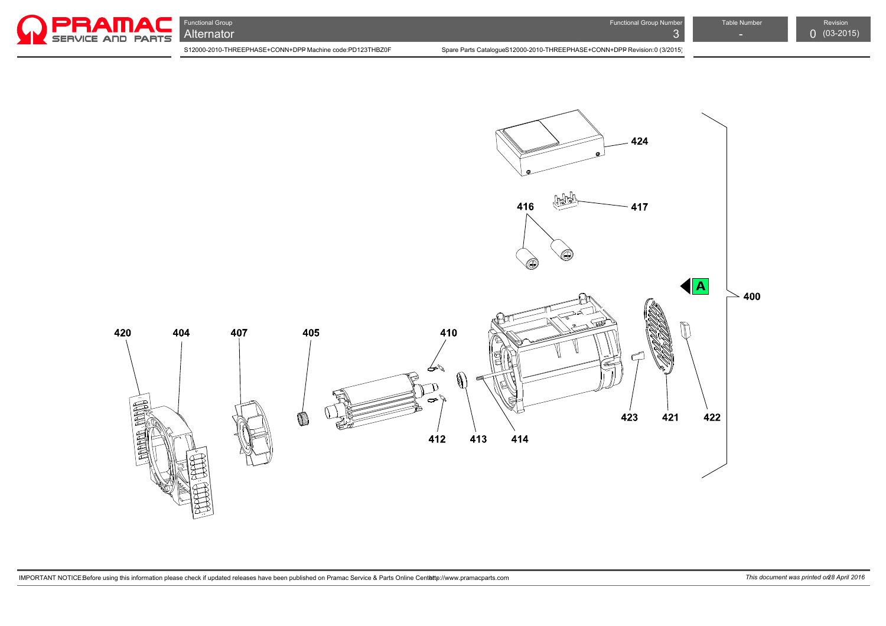

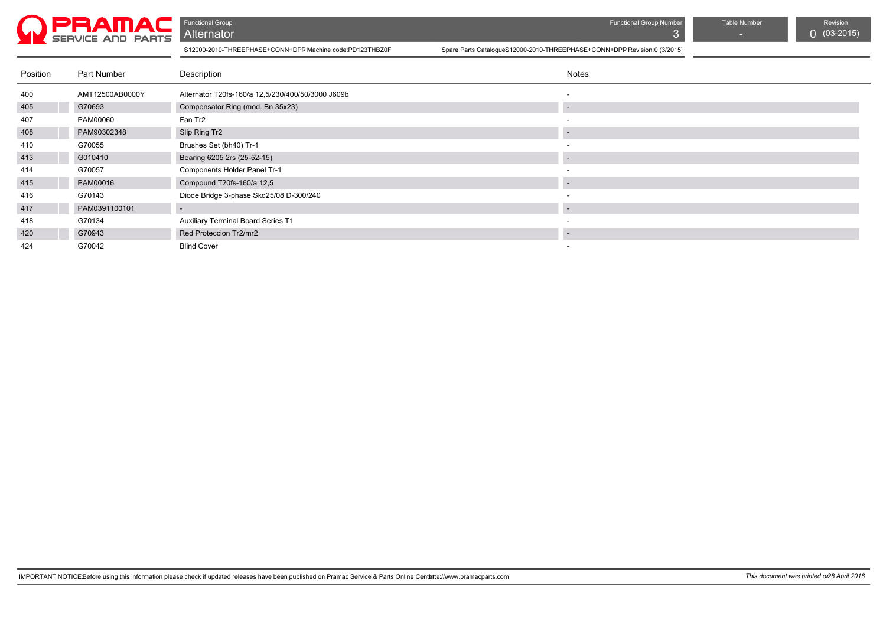

| Position | Part Number     | Description                                       | <b>Notes</b>             |
|----------|-----------------|---------------------------------------------------|--------------------------|
| 400      | AMT12500AB0000Y | Alternator T20fs-160/a 12,5/230/400/50/3000 J609b | $\overline{\phantom{a}}$ |
| 405      | G70693          | Compensator Ring (mod. Bn 35x23)                  |                          |
| 407      | PAM00060        | Fan Tr2                                           |                          |
| 408      | PAM90302348     | Slip Ring Tr2                                     | -                        |
| 410      | G70055          | Brushes Set (bh40) Tr-1                           |                          |
| 413      | G010410         | Bearing 6205 2rs (25-52-15)                       |                          |
| 414      | G70057          | Components Holder Panel Tr-1                      | $\sim$                   |
| 415      | PAM00016        | Compound T20fs-160/a 12,5                         |                          |
| 416      | G70143          | Diode Bridge 3-phase Skd25/08 D-300/240           | $\sim$                   |
| 417      | PAM0391100101   | $\sim$                                            |                          |
| 418      | G70134          | <b>Auxiliary Terminal Board Series T1</b>         | $\overline{\phantom{a}}$ |
| 420      | G70943          | Red Proteccion Tr2/mr2                            |                          |
| 424      | G70042          | <b>Blind Cover</b>                                | $\overline{\phantom{a}}$ |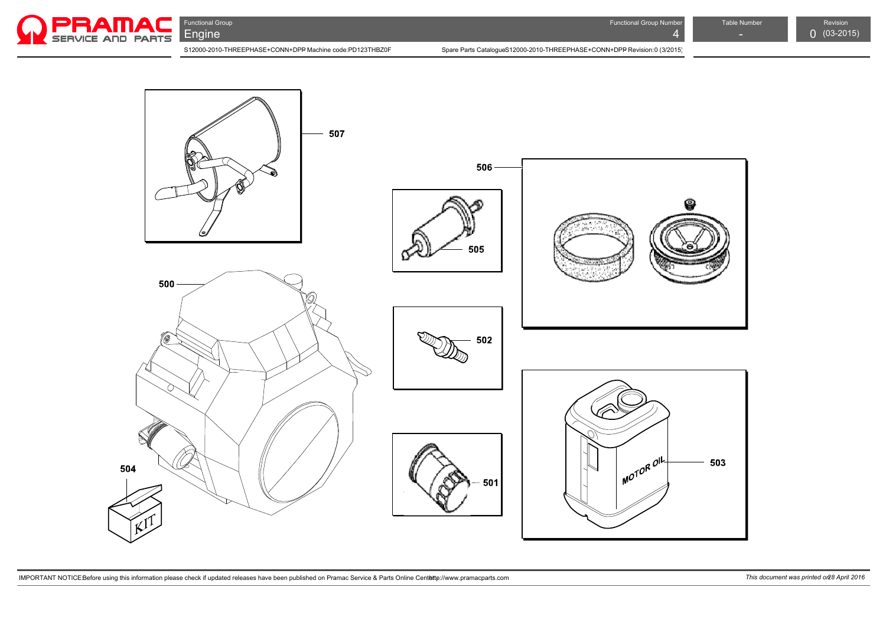

S12000-2010-THREEPHASE+CONN+DPP Machine code:PD123THBZ0F Spare Parts Catalogue S12000-2010-THREEPHASE+CONN+DPP Revision:0 (3/2015)  $\left| \begin{array}{c} 1 \ 0 \ 0 \end{array} \right|$